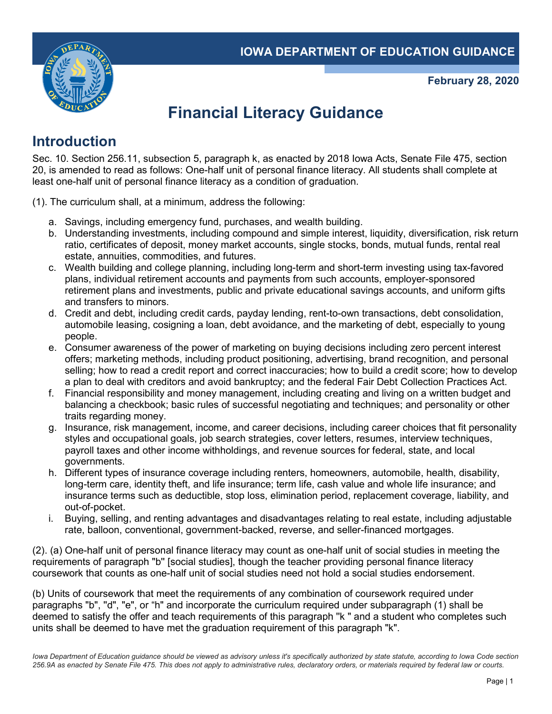

**February 28, 2020**

# **Financial Literacy Guidance**

## **Introduction**

Sec. 10. Section 256.11, subsection 5, paragraph k, as enacted by 2018 Iowa Acts, Senate File 475, section 20, is amended to read as follows: One-half unit of personal finance literacy. All students shall complete at least one-half unit of personal finance literacy as a condition of graduation.

- (1). The curriculum shall, at a minimum, address the following:
	- a. Savings, including emergency fund, purchases, and wealth building.
	- b. Understanding investments, including compound and simple interest, liquidity, diversification, risk return ratio, certificates of deposit, money market accounts, single stocks, bonds, mutual funds, rental real estate, annuities, commodities, and futures.
	- c. Wealth building and college planning, including long-term and short-term investing using tax-favored plans, individual retirement accounts and payments from such accounts, employer-sponsored retirement plans and investments, public and private educational savings accounts, and uniform gifts and transfers to minors.
	- d. Credit and debt, including credit cards, payday lending, rent-to-own transactions, debt consolidation, automobile leasing, cosigning a loan, debt avoidance, and the marketing of debt, especially to young people.
	- e. Consumer awareness of the power of marketing on buying decisions including zero percent interest offers; marketing methods, including product positioning, advertising, brand recognition, and personal selling; how to read a credit report and correct inaccuracies; how to build a credit score; how to develop a plan to deal with creditors and avoid bankruptcy; and the federal Fair Debt Collection Practices Act.
	- f. Financial responsibility and money management, including creating and living on a written budget and balancing a checkbook; basic rules of successful negotiating and techniques; and personality or other traits regarding money.
	- g. Insurance, risk management, income, and career decisions, including career choices that fit personality styles and occupational goals, job search strategies, cover letters, resumes, interview techniques, payroll taxes and other income withholdings, and revenue sources for federal, state, and local governments.
	- h. Different types of insurance coverage including renters, homeowners, automobile, health, disability, long-term care, identity theft, and life insurance; term life, cash value and whole life insurance; and insurance terms such as deductible, stop loss, elimination period, replacement coverage, liability, and out-of-pocket.
	- i. Buying, selling, and renting advantages and disadvantages relating to real estate, including adjustable rate, balloon, conventional, government-backed, reverse, and seller-financed mortgages.

(2). (a) One-half unit of personal finance literacy may count as one-half unit of social studies in meeting the requirements of paragraph "b'' [social studies], though the teacher providing personal finance literacy coursework that counts as one-half unit of social studies need not hold a social studies endorsement.

(b) Units of coursework that meet the requirements of any combination of coursework required under paragraphs "b", "d", "e", or "h" and incorporate the curriculum required under subparagraph (1) shall be deemed to satisfy the offer and teach requirements of this paragraph ''k " and a student who completes such units shall be deemed to have met the graduation requirement of this paragraph "k".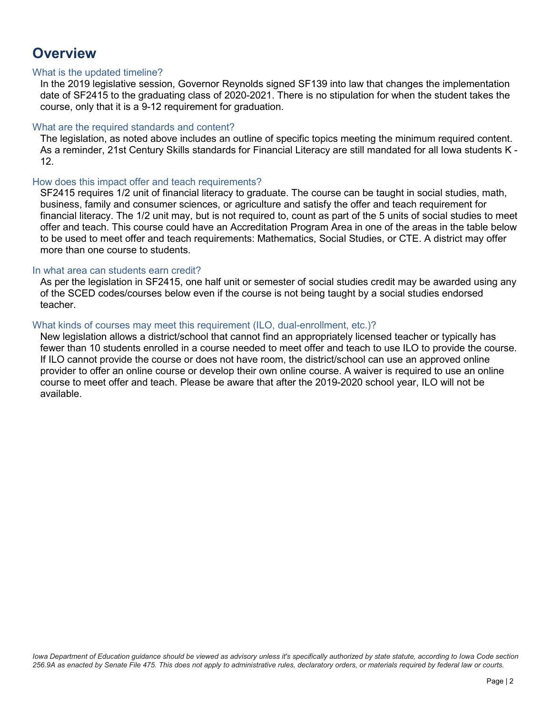### **Overview**

#### What is the updated timeline?

In the 2019 legislative session, Governor Reynolds signed SF139 into law that changes the implementation date of SF2415 to the graduating class of 2020-2021. There is no stipulation for when the student takes the course, only that it is a 9-12 requirement for graduation.

#### What are the required standards and content?

The legislation, as noted above includes an outline of specific topics meeting the minimum required content. As a reminder, 21st Century Skills standards for Financial Literacy are still mandated for all Iowa students K - 12.

#### How does this impact offer and teach requirements?

SF2415 requires 1/2 unit of financial literacy to graduate. The course can be taught in social studies, math, business, family and consumer sciences, or agriculture and satisfy the offer and teach requirement for financial literacy. The 1/2 unit may, but is not required to, count as part of the 5 units of social studies to meet offer and teach. This course could have an Accreditation Program Area in one of the areas in the table below to be used to meet offer and teach requirements: Mathematics, Social Studies, or CTE. A district may offer more than one course to students.

#### In what area can students earn credit?

As per the legislation in SF2415, one half unit or semester of social studies credit may be awarded using any of the SCED codes/courses below even if the course is not being taught by a social studies endorsed teacher.

#### What kinds of courses may meet this requirement (ILO, dual-enrollment, etc.)?

New legislation allows a district/school that cannot find an appropriately licensed teacher or typically has fewer than 10 students enrolled in a course needed to meet offer and teach to use ILO to provide the course. If ILO cannot provide the course or does not have room, the district/school can use an approved online provider to offer an online course or develop their own online course. A waiver is required to use an online course to meet offer and teach. Please be aware that after the 2019-2020 school year, ILO will not be available.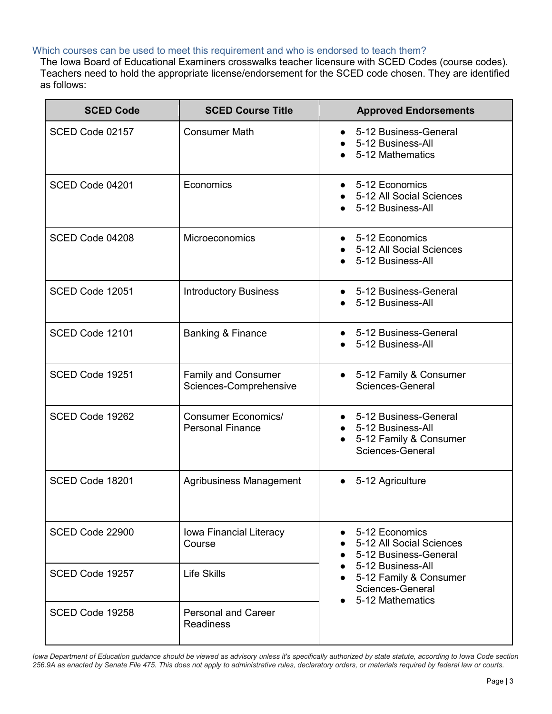#### Which courses can be used to meet this requirement and who is endorsed to teach them?

The Iowa Board of Educational Examiners crosswalks teacher licensure with SCED Codes (course codes). Teachers need to hold the appropriate license/endorsement for the SCED code chosen. They are identified as follows:

| <b>SCED Code</b> | <b>SCED Course Title</b>                              | <b>Approved Endorsements</b>                                                                                                                               |
|------------------|-------------------------------------------------------|------------------------------------------------------------------------------------------------------------------------------------------------------------|
| SCED Code 02157  | <b>Consumer Math</b>                                  | 5-12 Business-General<br>5-12 Business-All<br>5-12 Mathematics                                                                                             |
| SCED Code 04201  | Economics                                             | • 5-12 Economics<br>5-12 All Social Sciences<br>5-12 Business-All                                                                                          |
| SCED Code 04208  | Microeconomics                                        | • 5-12 Economics<br>• 5-12 All Social Sciences<br>5-12 Business-All                                                                                        |
| SCED Code 12051  | <b>Introductory Business</b>                          | 5-12 Business-General<br>5-12 Business-All                                                                                                                 |
| SCED Code 12101  | <b>Banking &amp; Finance</b>                          | 5-12 Business-General<br>5-12 Business-All                                                                                                                 |
| SCED Code 19251  | <b>Family and Consumer</b><br>Sciences-Comprehensive  | • 5-12 Family & Consumer<br>Sciences-General                                                                                                               |
| SCED Code 19262  | <b>Consumer Economics/</b><br><b>Personal Finance</b> | 5-12 Business-General<br>$\bullet$<br>5-12 Business-All<br>5-12 Family & Consumer<br>Sciences-General                                                      |
| SCED Code 18201  | <b>Agribusiness Management</b>                        | 5-12 Agriculture<br>$\bullet$                                                                                                                              |
| SCED Code 22900  | Iowa Financial Literacy<br>Course                     | 5-12 Economics<br>5-12 All Social Sciences<br>5-12 Business-General<br>5-12 Business-All<br>5-12 Family & Consumer<br>Sciences-General<br>5-12 Mathematics |
| SCED Code 19257  | <b>Life Skills</b>                                    |                                                                                                                                                            |
| SCED Code 19258  | <b>Personal and Career</b><br><b>Readiness</b>        |                                                                                                                                                            |

*Iowa Department of Education guidance should be viewed as advisory unless it's specifically authorized by state statute, according to Iowa Code section 256.9A as enacted by Senate File 475. This does not apply to administrative rules, declaratory orders, or materials required by federal law or courts.*